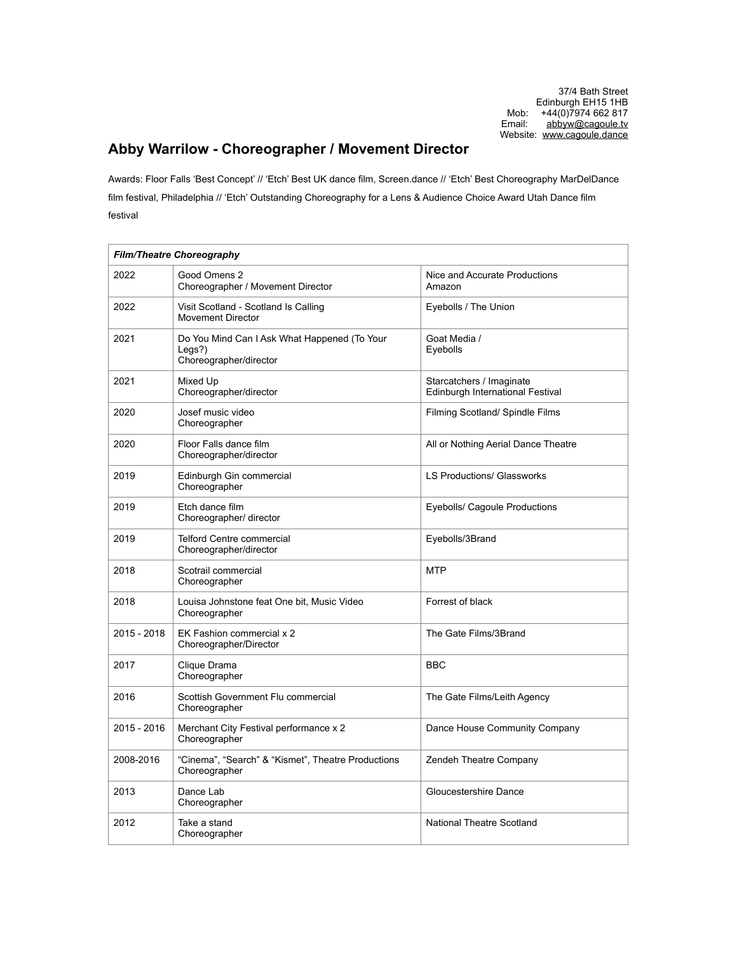## **Abby Warrilow - Choreographer / Movement Director**

Awards: Floor Falls 'Best Concept' // 'Etch' Best UK dance film, Screen.dance // 'Etch' Best Choreography MarDelDance film festival, Philadelphia // 'Etch' Outstanding Choreography for a Lens & Audience Choice Award Utah Dance film festival

| <b>Film/Theatre Choreography</b> |                                                                                     |                                                              |
|----------------------------------|-------------------------------------------------------------------------------------|--------------------------------------------------------------|
| 2022                             | Good Omens 2<br>Choreographer / Movement Director                                   | Nice and Accurate Productions<br>Amazon                      |
| 2022                             | Visit Scotland - Scotland Is Calling<br><b>Movement Director</b>                    | Eyebolls / The Union                                         |
| 2021                             | Do You Mind Can I Ask What Happened (To Your<br>$Legs$ ?)<br>Choreographer/director | Goat Media /<br>Eyebolls                                     |
| 2021                             | Mixed Up<br>Choreographer/director                                                  | Starcatchers / Imaginate<br>Edinburgh International Festival |
| 2020                             | Josef music video<br>Choreographer                                                  | Filming Scotland/ Spindle Films                              |
| 2020                             | Floor Falls dance film<br>Choreographer/director                                    | All or Nothing Aerial Dance Theatre                          |
| 2019                             | Edinburgh Gin commercial<br>Choreographer                                           | <b>LS Productions/ Glassworks</b>                            |
| 2019                             | Etch dance film<br>Choreographer/ director                                          | Eyebolls/ Cagoule Productions                                |
| 2019                             | Telford Centre commercial<br>Choreographer/director                                 | Eyebolls/3Brand                                              |
| 2018                             | Scotrail commercial<br>Choreographer                                                | <b>MTP</b>                                                   |
| 2018                             | Louisa Johnstone feat One bit, Music Video<br>Choreographer                         | Forrest of black                                             |
| 2015 - 2018                      | EK Fashion commercial x 2<br>Choreographer/Director                                 | The Gate Films/3Brand                                        |
| 2017                             | Clique Drama<br>Choreographer                                                       | <b>BBC</b>                                                   |
| 2016                             | Scottish Government Flu commercial<br>Choreographer                                 | The Gate Films/Leith Agency                                  |
| 2015 - 2016                      | Merchant City Festival performance x 2<br>Choreographer                             | Dance House Community Company                                |
| 2008-2016                        | "Cinema", "Search" & "Kismet", Theatre Productions<br>Choreographer                 | Zendeh Theatre Company                                       |
| 2013                             | Dance Lab<br>Choreographer                                                          | Gloucestershire Dance                                        |
| 2012                             | Take a stand<br>Choreographer                                                       | National Theatre Scotland                                    |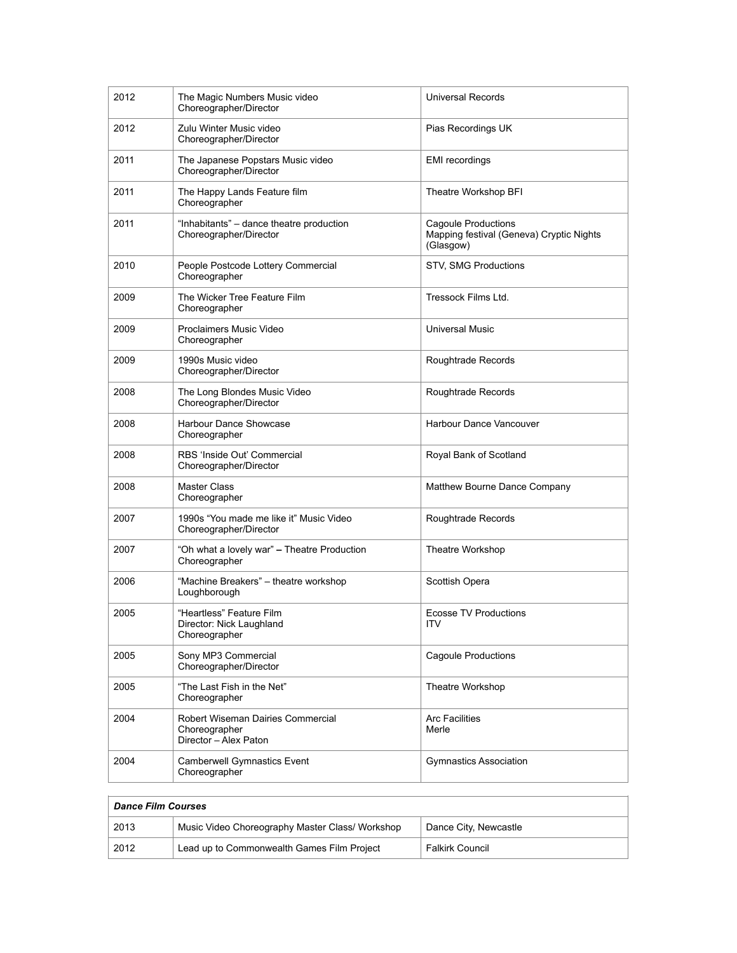| 2012 | The Magic Numbers Music video<br>Choreographer/Director                     | <b>Universal Records</b>                                                            |
|------|-----------------------------------------------------------------------------|-------------------------------------------------------------------------------------|
| 2012 | Zulu Winter Music video<br>Choreographer/Director                           | Pias Recordings UK                                                                  |
| 2011 | The Japanese Popstars Music video<br>Choreographer/Director                 | <b>EMI</b> recordings                                                               |
| 2011 | The Happy Lands Feature film<br>Choreographer                               | Theatre Workshop BFI                                                                |
| 2011 | "Inhabitants" – dance theatre production<br>Choreographer/Director          | <b>Cagoule Productions</b><br>Mapping festival (Geneva) Cryptic Nights<br>(Glasgow) |
| 2010 | People Postcode Lottery Commercial<br>Choreographer                         | STV, SMG Productions                                                                |
| 2009 | The Wicker Tree Feature Film<br>Choreographer                               | Tressock Films Ltd.                                                                 |
| 2009 | Proclaimers Music Video<br>Choreographer                                    | <b>Universal Music</b>                                                              |
| 2009 | 1990s Music video<br>Choreographer/Director                                 | Roughtrade Records                                                                  |
| 2008 | The Long Blondes Music Video<br>Choreographer/Director                      | Roughtrade Records                                                                  |
| 2008 | Harbour Dance Showcase<br>Choreographer                                     | Harbour Dance Vancouver                                                             |
| 2008 | RBS 'Inside Out' Commercial<br>Choreographer/Director                       | Royal Bank of Scotland                                                              |
| 2008 | Master Class<br>Choreographer                                               | Matthew Bourne Dance Company                                                        |
| 2007 | 1990s "You made me like it" Music Video<br>Choreographer/Director           | Roughtrade Records                                                                  |
| 2007 | "Oh what a lovely war" - Theatre Production<br>Choreographer                | Theatre Workshop                                                                    |
| 2006 | "Machine Breakers" - theatre workshop<br>Loughborough                       | Scottish Opera                                                                      |
| 2005 | "Heartless" Feature Film<br>Director: Nick Laughland<br>Choreographer       | <b>Ecosse TV Productions</b><br><b>ITV</b>                                          |
| 2005 | Sony MP3 Commercial<br>Choreographer/Director                               | Cagoule Productions                                                                 |
| 2005 | "The Last Fish in the Net"<br>Choreographer                                 | Theatre Workshop                                                                    |
| 2004 | Robert Wiseman Dairies Commercial<br>Choreographer<br>Director - Alex Paton | <b>Arc Facilities</b><br>Merle                                                      |
| 2004 | <b>Camberwell Gymnastics Event</b><br>Choreographer                         | <b>Gymnastics Association</b>                                                       |

| <b>Dance Film Courses</b> |                                                 |                        |
|---------------------------|-------------------------------------------------|------------------------|
| 2013                      | Music Video Choreography Master Class/ Workshop | Dance City, Newcastle  |
| 2012                      | Lead up to Commonwealth Games Film Project      | <b>Falkirk Council</b> |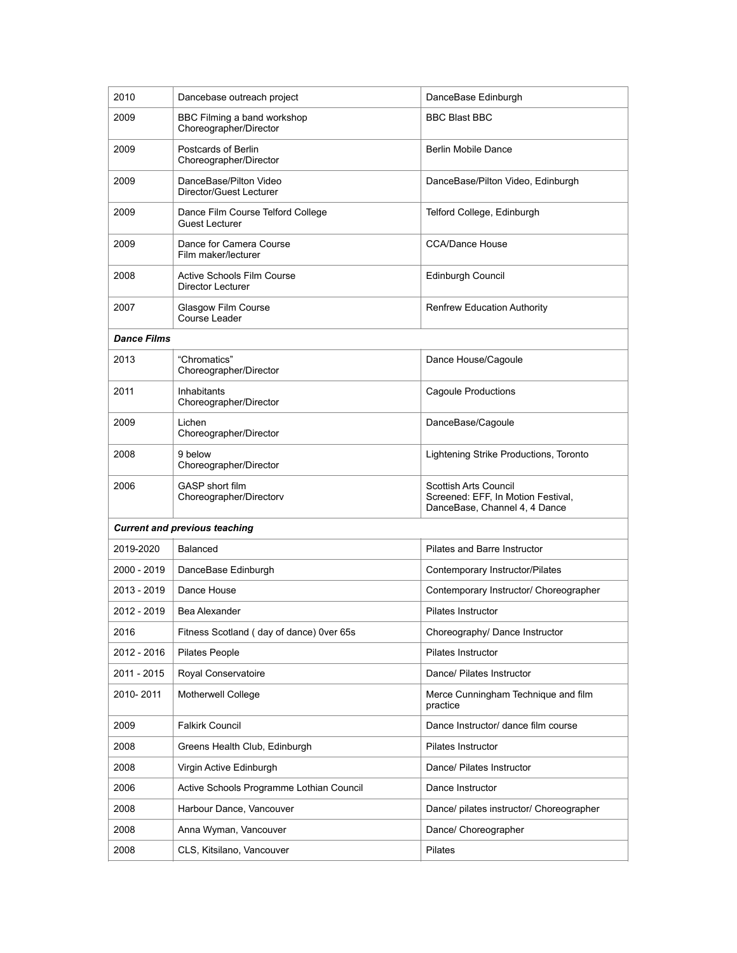| 2010                                 | Dancebase outreach project                                 | DanceBase Edinburgh                                                                          |
|--------------------------------------|------------------------------------------------------------|----------------------------------------------------------------------------------------------|
| 2009                                 | BBC Filming a band workshop<br>Choreographer/Director      | <b>BBC Blast BBC</b>                                                                         |
| 2009                                 | Postcards of Berlin<br>Choreographer/Director              | <b>Berlin Mobile Dance</b>                                                                   |
| 2009                                 | DanceBase/Pilton Video<br>Director/Guest Lecturer          | DanceBase/Pilton Video, Edinburgh                                                            |
| 2009                                 | Dance Film Course Telford College<br><b>Guest Lecturer</b> | Telford College, Edinburgh                                                                   |
| 2009                                 | Dance for Camera Course<br>Film maker/lecturer             | <b>CCA/Dance House</b>                                                                       |
| 2008                                 | <b>Active Schools Film Course</b><br>Director Lecturer     | Edinburgh Council                                                                            |
| 2007                                 | Glasgow Film Course<br>Course Leader                       | <b>Renfrew Education Authority</b>                                                           |
| <b>Dance Films</b>                   |                                                            |                                                                                              |
| 2013                                 | "Chromatics"<br>Choreographer/Director                     | Dance House/Cagoule                                                                          |
| 2011                                 | <b>Inhabitants</b><br>Choreographer/Director               | <b>Cagoule Productions</b>                                                                   |
| 2009                                 | Lichen<br>Choreographer/Director                           | DanceBase/Cagoule                                                                            |
| 2008                                 | 9 below<br>Choreographer/Director                          | Lightening Strike Productions, Toronto                                                       |
| 2006                                 | GASP short film<br>Choreographer/Directorv                 | Scottish Arts Council<br>Screened: EFF, In Motion Festival,<br>DanceBase, Channel 4, 4 Dance |
| <b>Current and previous teaching</b> |                                                            |                                                                                              |
| 2019-2020                            | Balanced                                                   | Pilates and Barre Instructor                                                                 |
| 2000 - 2019                          | DanceBase Edinburgh                                        | Contemporary Instructor/Pilates                                                              |
| 2013 - 2019                          | Dance House                                                | Contemporary Instructor/ Choreographer                                                       |
| 2012 - 2019                          | Bea Alexander                                              | <b>Pilates Instructor</b>                                                                    |
| 2016                                 | Fitness Scotland (day of dance) 0ver 65s                   | Choreography/ Dance Instructor                                                               |
| 2012 - 2016                          | <b>Pilates People</b>                                      | Pilates Instructor                                                                           |
| 2011 - 2015                          | Royal Conservatoire                                        | Dance/ Pilates Instructor                                                                    |
| 2010-2011                            | Motherwell College                                         | Merce Cunningham Technique and film<br>practice                                              |
| 2009                                 | <b>Falkirk Council</b>                                     | Dance Instructor/ dance film course                                                          |
| 2008                                 | Greens Health Club, Edinburgh                              | Pilates Instructor                                                                           |
| 2008                                 | Virgin Active Edinburgh                                    | Dance/ Pilates Instructor                                                                    |
| 2006                                 | Active Schools Programme Lothian Council                   | Dance Instructor                                                                             |
| 2008                                 | Harbour Dance, Vancouver                                   | Dance/ pilates instructor/ Choreographer                                                     |
| 2008                                 | Anna Wyman, Vancouver                                      | Dance/ Choreographer                                                                         |
| 2008                                 | CLS, Kitsilano, Vancouver                                  | Pilates                                                                                      |